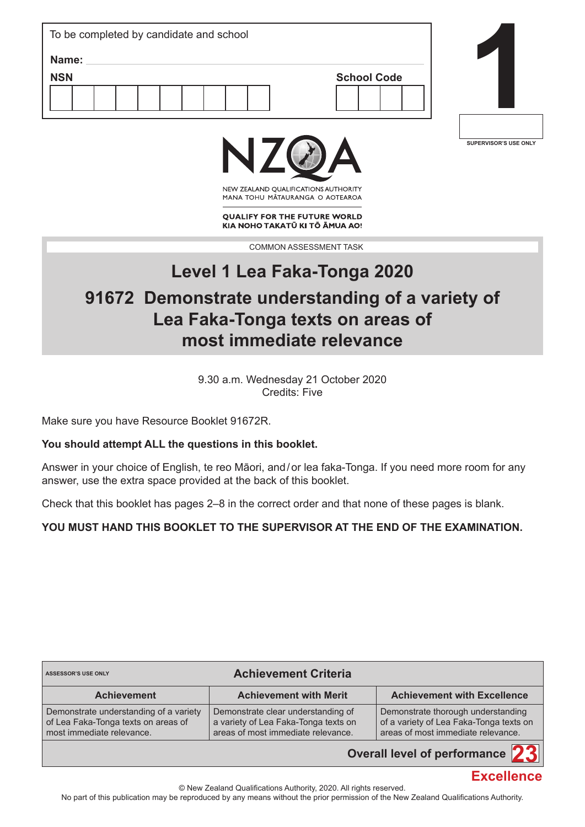| To be completed by candidate and school   |  |
|-------------------------------------------|--|
| Name:<br><b>NSN</b><br><b>School Code</b> |  |
|                                           |  |





NEW ZEALAND OUALIFICATIONS AUTHORITY MANA TOHU MATAURANGA O AOTEAROA

**QUALIFY FOR THE FUTURE WORLD** KIA NOHO TAKATŪ KI TŌ ĀMUA AO!

COMMON ASSESSMENT TASK

# **Level 1 Lea Faka-Tonga 2020 91672 Demonstrate understanding of a variety of Lea Faka-Tonga texts on areas of most immediate relevance**

9.30 a.m. Wednesday 21 October 2020 Credits: Five

Make sure you have Resource Booklet 91672R.

## **You should attempt ALL the questions in this booklet.**

Answer in your choice of English, te reo Māori, and/or lea faka-Tonga. If you need more room for any answer, use the extra space provided at the back of this booklet.

Check that this booklet has pages 2–8 in the correct order and that none of these pages is blank.

## **YOU MUST HAND THIS BOOKLET TO THE SUPERVISOR AT THE END OF THE EXAMINATION.**

| <b>Achievement Criteria</b><br><b>ASSESSOR'S USE ONLY</b>                                                  |                                                                                                                  |                                                                                                                     |  |  |  |
|------------------------------------------------------------------------------------------------------------|------------------------------------------------------------------------------------------------------------------|---------------------------------------------------------------------------------------------------------------------|--|--|--|
| <b>Achievement</b>                                                                                         | <b>Achievement with Merit</b>                                                                                    | <b>Achievement with Excellence</b>                                                                                  |  |  |  |
| Demonstrate understanding of a variety<br>of Lea Faka-Tonga texts on areas of<br>most immediate relevance. | Demonstrate clear understanding of<br>a variety of Lea Faka-Tonga texts on<br>areas of most immediate relevance. | Demonstrate thorough understanding<br>of a variety of Lea Faka-Tonga texts on<br>areas of most immediate relevance. |  |  |  |

#### **Overall level of performance 23**



© New Zealand Qualifications Authority, 2020. All rights reserved.

No part of this publication may be reproduced by any means without the prior permission of the New Zealand Qualifications Authority.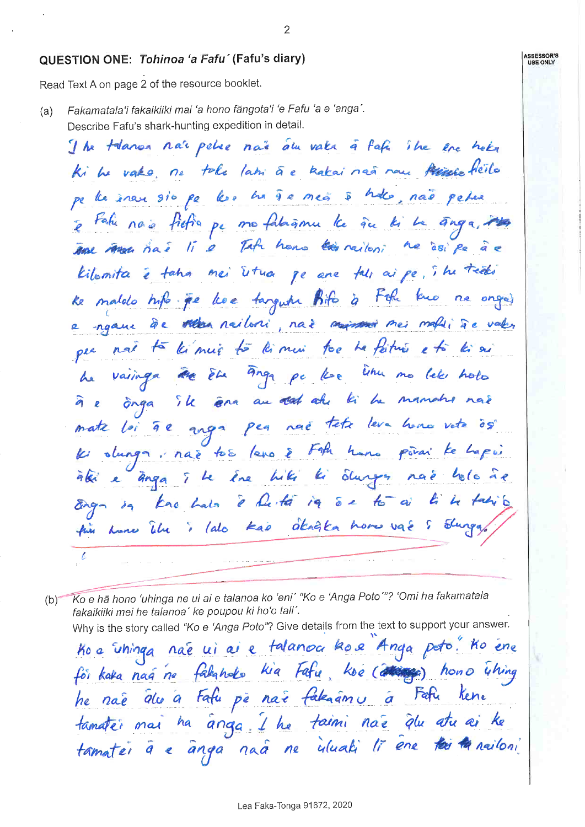#### QUESTION ONE: Tohinoa 'a Fafu' (Fafu's diary)

Read Text A on page 2 of the resource booklet.

Fakamatala'i fakaikiiki mai 'a hono fāngota'i 'e Fafu 'a e 'anga'.  $(a)$ Describe Fafu's shark-hunting expedition in detail.

I he talnou n'air pelue nais alu valer à fafa i he êne hoter Ki he vake, ne toke latin à e kakai nas nou primie héile pe la inau sio pe les ma de mes à holes, nac peter é falu nais fictio pe mo falañonu la ña di Le anga, ma ane range has lie Tata homo this nailoni he coi pe kilomita è taha mei istua pe ane tali ai pe, i he techo Ke maldo hifo pe lese targute Bifo à Foli kuo ne onger e agane de reles railors, nac mismo mei mali à c valer per noi to limes to limen too he faiture eto li ou vaisings the Ele Anga pc los like mo lete hote he The one are and all bi he manches not ñ  $\tilde{G}$ nga  $\overline{\mathbf{z}}$ mate loi de anga peu nué tête leva homo vote às olunga. nas tos levo & Fata homo povai te Lapoi  $\boldsymbol{\ell}$ àté e ânga i le êne hiti li ôlunger naõ lolo in kne hals é fuito in ée to ai  $k$   $k$ fun Lone the : (alo kao dénàte horo vaé 5 Stunga  $\mathcal{L}$ 

Ko e hã hono 'uhinga ne ui ai e talanoa ko 'eni' "Ko e 'Anga Poto'"? 'Omi ha fakamatala  $(b)^$ fakaikiiki mei he talanoa' ke poupou ki ho'o tali'.

Why is the story called "Ko e 'Anga Poto"? Give details from the text to support your answer.

Ko a Uninga naé vi ai e talanoa ko e Anga peto. Ko ene for kaka nag ne falando kia Fafu, koe (attange) hono uhing he naë alu a Fafu pë naë fakaamu a Fafu Kene tamatér mai ha anga. I he taimi naé que atu ai ke tamatei à e anga nad ne iduali li ene fai la nailoni

**ASSESSOR'S** 

**USE ONLY**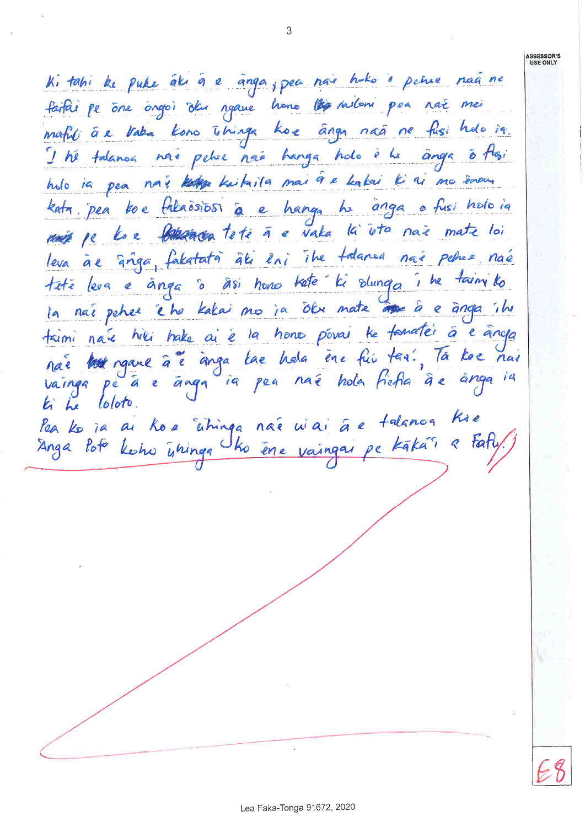**ASSESSOR'S** USE ONLY

Ki tahi ke puke aki a e anga pea nav hoko e pehre naa ne faitai pe one ongoi du ngane home les miloni peu nac mei mafili à e Vaka kono ishinga koe ânga nañ ne fusi holo in. I tré talanca nai pelue naa hanga holo è he anga o flosi holo ia pea nai kater kaitaila mai à e kakai l'ai mo ieneur kata pea toe fakaôsiosi à e hanga he anga o fusi holo ia mais pe lo e blessinga teté à e vaka la vita naie mate loi leva às ânga, fakatatà àti ini ihe falansa nai pehre, naé teté leva e ânga o âsi hono tete ki dunga i he taimiko la nai peher è he kakai mo ja oku mate ap à e anga ilu taimi naé hiki hake ai è la hono povai ke famatei à e ânega naé but reque à é anga la chela ène fui tax. Ta los noi ia peu naé hola tiefia àe anga vaings pe e anga ti Le loloto. Pea le ja ai koe "uhinga naé wai à e talanoa Koe a tatu Anga Poto koho ishinga ko ine vaingai pe kaka?

3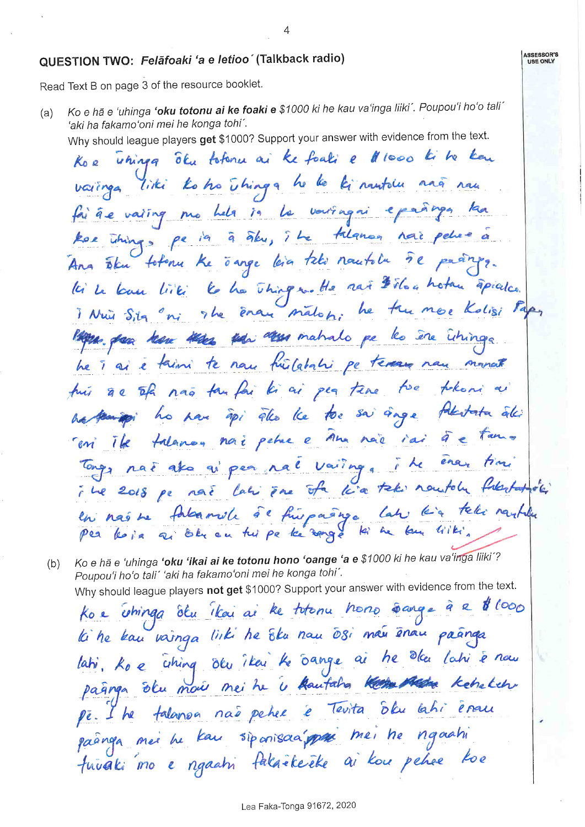### QUESTION TWO: Felafoaki 'a e letioo (Talkback radio)

Read Text B on page 3 of the resource booklet.

Ko e hã e 'uhinga 'oku totonu ai ke foaki e \$1000 ki he kau va'inga liiki'. Poupou'i ho'o tali'  $(a)$ 'aki ha fakamo'oni mei he konga tohi'.

Why should league players get \$1000? Support your answer with evidence from the text.

whinga ôlu totonu ai ke foali e Hloop ti to kan  $K_0$  e varinga liki koho uhinga he le ki nautolu nañ nau fai à e vaising me hels in le vouring ai epañoyen kae Things pe in à âlu, i he falance nous pelue Ana étu totonu ke önnge leia teto nautolu de paary. lei le bour lité le la Thinger. He sai Bila a hotan apicalce. i Nuis Sitz ni The Enan malon; he tru more Kolisi 1992. par har 42 ths has nature pe les ête îtings Le 7 ai e taini te nou fuibalabri pe teresso nou manat of nas tan fai li ai pea têne toe tokom no famigos ha nou api alco la toc sai ange talestata alci con ile talanon noi peter e Ama naie iai à e Tongs nac also ai peu nac voising. i le cher 2018 pe nai lahi sue ofa kia teki nautolu filestation teli rayfile en nas ne falamele àc fuipainge late  $e^{\alpha}$ lesia a che cu tui pe la sange la me lan pea

Ko e hã e 'uhinga 'oku 'ikai ai ke totonu hono 'oange 'a e \$1000 ki he kau va'inga liiki'?  $(b)$ Poupou'i ho'o tali' 'aki ha fakamo'oni mei he konga tohi'. Why should league players not get \$1000? Support your answer with evidence from the text.

Ko e vhinga ôlu ikai ai ke totonu hono sange à e \$1000 là he kau vainga linki he Eku nau 08i mar énau paânga lati, ko e ching ôlu îkai ke sange ai he dla lahi è nou pagnya deu mois mei he is kautaha kom Man kehekeh talanon nao peher è Tevita deu lahi èran I he Dě. paânga mei he kau siponisaa par mei he ngaahi fuvali mo e ngaati falaikeike ai kou pehee koe

 $\overline{4}$ 

**ASSESSOR'S**<br>USE ONLY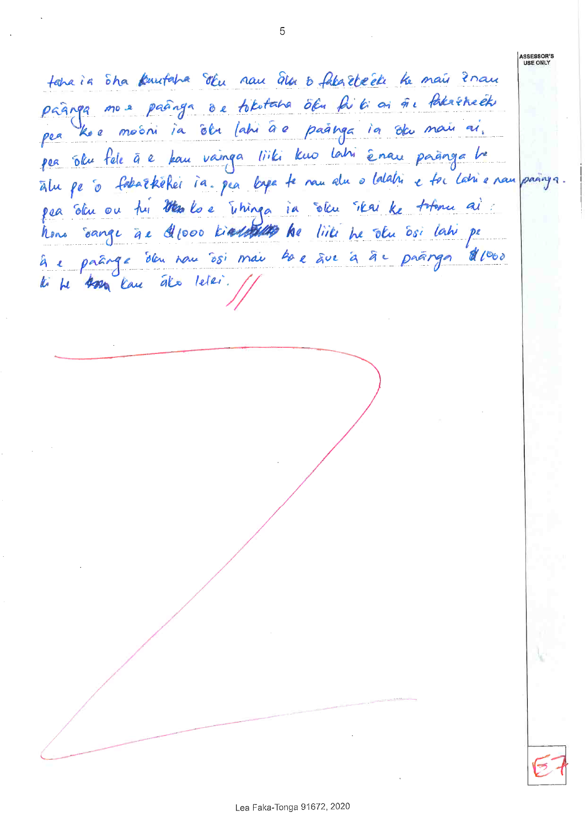fara i a sha Kuntaha Etu nau din o faka ete etu ke mais inan pagnya mos pagnya de tokotana oku bi ki ai ñi fakarrek pea les mosni ia ôlu lahi à o paanga ia ôlu mais ai. pea olu fele à e bau vainga lijki kuo lahi énau paànga be ālu pe o fokazkekei ia. pea kapa te nau alu o lalatri e tor Latri e nau pañaga pea deu ou tu than lo e Estinga ia delu skai ke trtonu ai hono sange as Alooo kiadatto be like he she ssi lahi pe à e paînge deu nou osi mai ba e ave à àc paanga d'1000 Le Bon lan âls leter.  $\boldsymbol{l}$ 

**ASSESSOR'S** USE ONLY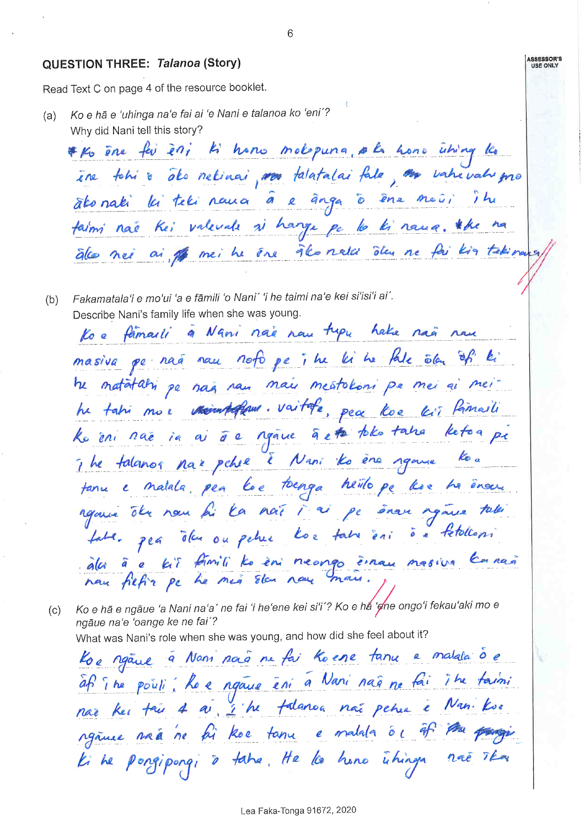#### QUESTION THREE: Talanoa (Story)

Read Text C on page 4 of the resource booklet.

Ko e hã e 'uhinga na'e fai ai 'e Nani e talanoa ko 'eni'?  $(a)$ Why did Nani tell this story?

#Ko ēne fei eni ki hono molopuna, sh hono ūhing la ine tohi & als netimai, mon talatalai fale, ma vahevalu mo abonati lei teli noma à e ânga à êne moûi îtr faimi não Kei valevale si harge pe lo ki naua. \* ke na âlce nei ai pa mei he êne âlce nata êten ne fai kin tekinana

Fakamatala'i e mo'ui 'a e fāmili 'o Nani' 'i he taimi na'e kei si'isi'i ai'.  $(b)$ Describe Nani's family life when she was young.

a Nani nak nau tupu heke naa nau famaili lo e masiva pe nañ nou noto pe i he lei he fale ōla ôfi li he matatahi pe nag nan mau meatokoni pe mei ai meihe tahi mor mointations. vaitate, peu los les fâmails Le en nac in ai à e ngane à eta teke taha ketoa pi i he talanos nar pehre è Nani lo ène aganse lo. tanu e malala, peu le tocnga hérito pe les ehs énous rgaux des nous hi la nois i ai pe sonare ngans tales table per den ou petie loe table en de fetollomi àles à e bit famili les en neongo enau massiva lon naci

(c) Ko e hã e ngãue 'a Nani na'a' ne fai 'i he'ene kei si'i'? Ko e há 'ene ongo'i fekau'aki mo e ngāue na'e 'oange ke ne fai'? What was Nani's role when she was young, and how did she feel about it?

Lo engance à Nani para ne fai Koene tanne e malala à e afi îne pouli, le e ngane eni a Nani nag ne fai îne taimi nar kei tai 4 ai 7 he talanca nar pehre è Nan koe rgame va à ne fit koe tanne e malala or af pa parais Li he pongipongi o take. He les hono uhinga naè ika

6

**ASSESSOR'S** 

USE ONLY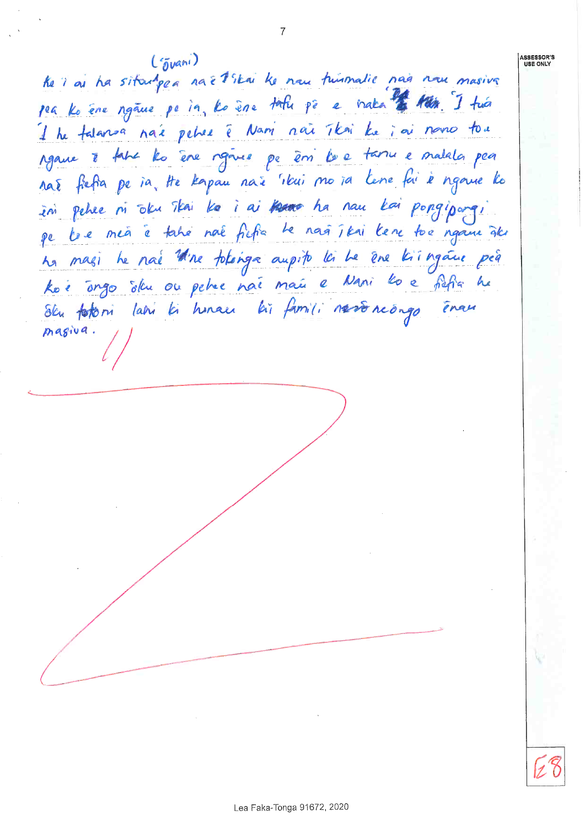## (Tvani)

Re i ai ha sitoutgea na étitai le nou tuimalie nad nou masive per le sere ngane pe in, le sere talu pe e vala le ten. I tua I le talansa naie peties è Nami nai Tkai ke i ai nomo tou agave à table les éve régnier pe êm les tancs e malala peu nat fretra pe ia, tte kapau nate skui mo ia lene fai è ngave ko ini pehee ni oku ikai ke i ai kano ha nau kai pongipang, Le mea à take not fiction le mais skri leve tou ngane des Pe La masi he naé the totoings aupite la Le êne liingane peu ko è ongo dhe ou pehee nai mais e Nani ko e  $f\circ f\circ$ Sku fotori lahi ki henace ki famili nasoreongo Enau magiva

**ASSESSOR'S**<br>USE ONLY